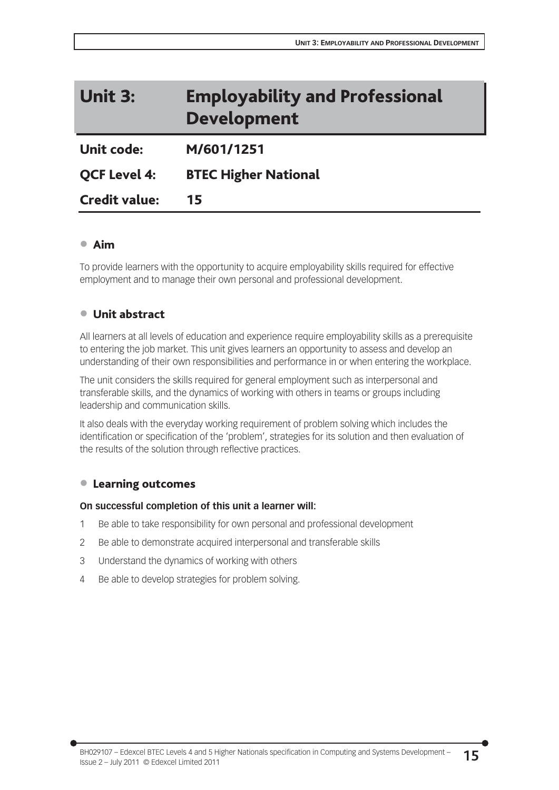# Unit 3: Employability and Professional Development

Unit code: M/601/1251

QCF Level 4: BTEC Higher National

Credit value: 15

## $\bullet$  Aim

To provide learners with the opportunity to acquire employability skills required for effective employment and to manage their own personal and professional development.

# $\bullet$  Unit abstract

All learners at all levels of education and experience require employability skills as a prerequisite to entering the job market. This unit gives learners an opportunity to assess and develop an understanding of their own responsibilities and performance in or when entering the workplace.

The unit considers the skills required for general employment such as interpersonal and transferable skills, and the dynamics of working with others in teams or groups including leadership and communication skills.

It also deals with the everyday working requirement of problem solving which includes the identification or specification of the 'problem', strategies for its solution and then evaluation of the results of the solution through reflective practices.

# • Learning outcomes

#### **On successful completion of this unit a learner will:**

- 1 Be able to take responsibility for own personal and professional development
- 2 Be able to demonstrate acquired interpersonal and transferable skills
- 3 Understand the dynamics of working with others
- 4 Be able to develop strategies for problem solving.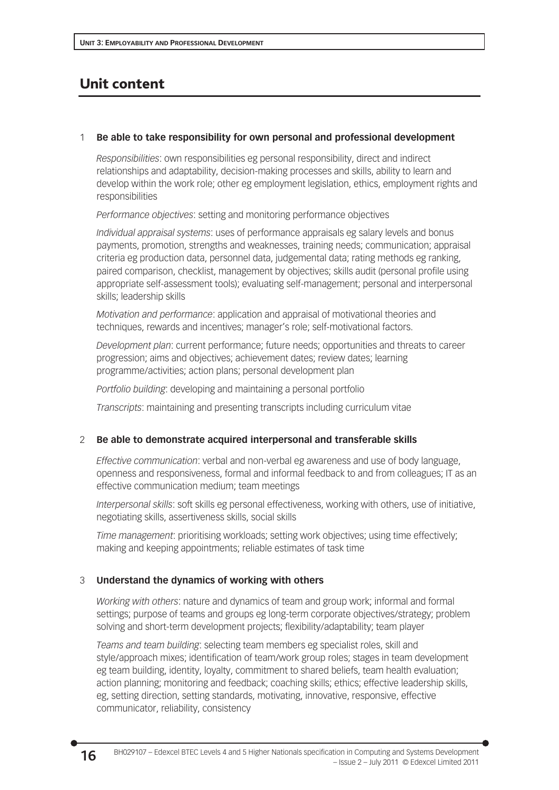# Unit content

## 1 **Be able to take responsibility for own personal and professional development**

*Responsibilities*: own responsibilities eg personal responsibility, direct and indirect relationships and adaptability, decision-making processes and skills, ability to learn and develop within the work role; other eg employment legislation, ethics, employment rights and responsibilities

*Performance objectives*: setting and monitoring performance objectives

*Individual appraisal systems*: uses of performance appraisals eg salary levels and bonus payments, promotion, strengths and weaknesses, training needs; communication; appraisal criteria eg production data, personnel data, judgemental data; rating methods eg ranking, paired comparison, checklist, management by objectives; skills audit (personal profile using appropriate self-assessment tools); evaluating self-management; personal and interpersonal skills; leadership skills

*Motivation and performance*: application and appraisal of motivational theories and techniques, rewards and incentives; manager's role; self-motivational factors.

*Development plan*: current performance; future needs; opportunities and threats to career progression; aims and objectives; achievement dates; review dates; learning programme/activities; action plans; personal development plan

*Portfolio building*: developing and maintaining a personal portfolio

*Transcripts*: maintaining and presenting transcripts including curriculum vitae

# 2 **Be able to demonstrate acquired interpersonal and transferable skills**

*Effective communication*: verbal and non-verbal eg awareness and use of body language, openness and responsiveness, formal and informal feedback to and from colleagues; IT as an effective communication medium; team meetings

*Interpersonal skills*: soft skills eg personal effectiveness, working with others, use of initiative, negotiating skills, assertiveness skills, social skills

*Time management*: prioritising workloads; setting work objectives; using time effectively; making and keeping appointments; reliable estimates of task time

# 3 **Understand the dynamics of working with others**

*Working with others*: nature and dynamics of team and group work; informal and formal settings; purpose of teams and groups eg long-term corporate objectives/strategy; problem solving and short-term development projects; flexibility/adaptability; team player

*Teams and team building*: selecting team members eg specialist roles, skill and style/approach mixes; identification of team/work group roles; stages in team development eg team building, identity, loyalty, commitment to shared beliefs, team health evaluation; action planning; monitoring and feedback; coaching skills; ethics; effective leadership skills, eg, setting direction, setting standards, motivating, innovative, responsive, effective communicator, reliability, consistency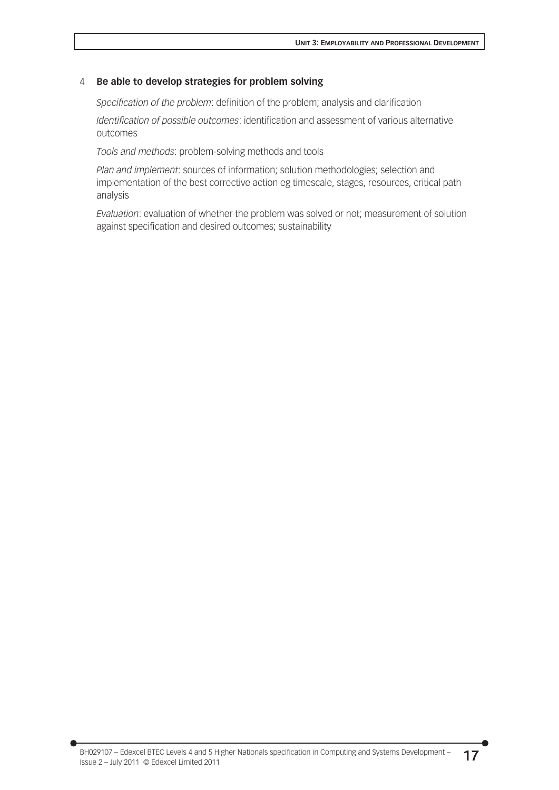#### 4 **Be able to develop strategies for problem solving**

*Specification of the problem*: definition of the problem; analysis and clarification

*Identification of possible outcomes*: identification and assessment of various alternative outcomes

*Tools and methods*: problem-solving methods and tools

*Plan and implement*: sources of information; solution methodologies; selection and implementation of the best corrective action eg timescale, stages, resources, critical path analysis

*Evaluation*: evaluation of whether the problem was solved or not; measurement of solution against specification and desired outcomes; sustainability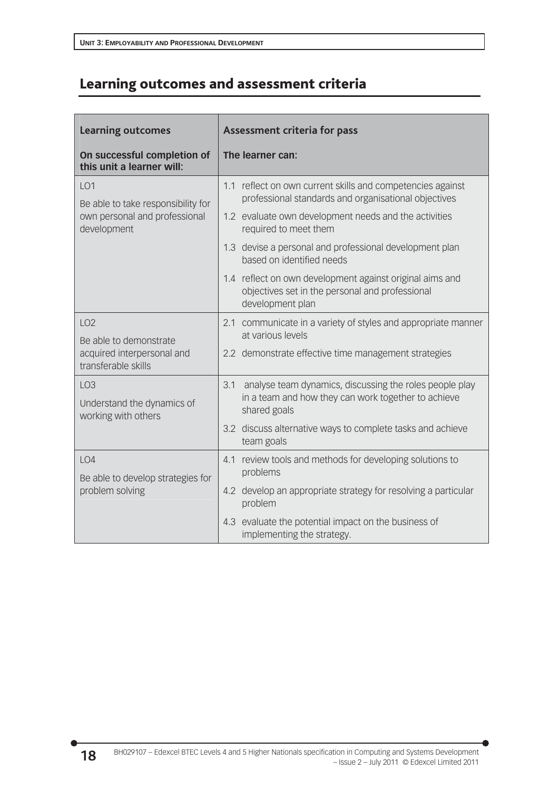# Learning outcomes and assessment criteria

| <b>Learning outcomes</b>                                                                              | Assessment criteria for pass<br>The learner can:                                                                                |  |
|-------------------------------------------------------------------------------------------------------|---------------------------------------------------------------------------------------------------------------------------------|--|
| On successful completion of<br>this unit a learner will:                                              |                                                                                                                                 |  |
| LO <sub>1</sub><br>Be able to take responsibility for<br>own personal and professional<br>development | 1.1 reflect on own current skills and competencies against<br>professional standards and organisational objectives              |  |
|                                                                                                       | 1.2 evaluate own development needs and the activities<br>required to meet them                                                  |  |
|                                                                                                       | 1.3 devise a personal and professional development plan<br>based on identified needs                                            |  |
|                                                                                                       | 1.4 reflect on own development against original aims and<br>objectives set in the personal and professional<br>development plan |  |
| LO <sub>2</sub><br>Be able to demonstrate<br>acquired interpersonal and<br>transferable skills        | communicate in a variety of styles and appropriate manner<br>2.1<br>at various levels                                           |  |
|                                                                                                       | 2.2 demonstrate effective time management strategies                                                                            |  |
| LO <sub>3</sub>                                                                                       | 3.1<br>analyse team dynamics, discussing the roles people play                                                                  |  |
| Understand the dynamics of<br>working with others                                                     | in a team and how they can work together to achieve<br>shared goals                                                             |  |
|                                                                                                       | 3.2 discuss alternative ways to complete tasks and achieve<br>team goals                                                        |  |
| LO4<br>Be able to develop strategies for<br>problem solving                                           | 4.1 review tools and methods for developing solutions to<br>problems                                                            |  |
|                                                                                                       | 4.2 develop an appropriate strategy for resolving a particular<br>problem                                                       |  |
|                                                                                                       | 4.3 evaluate the potential impact on the business of<br>implementing the strategy.                                              |  |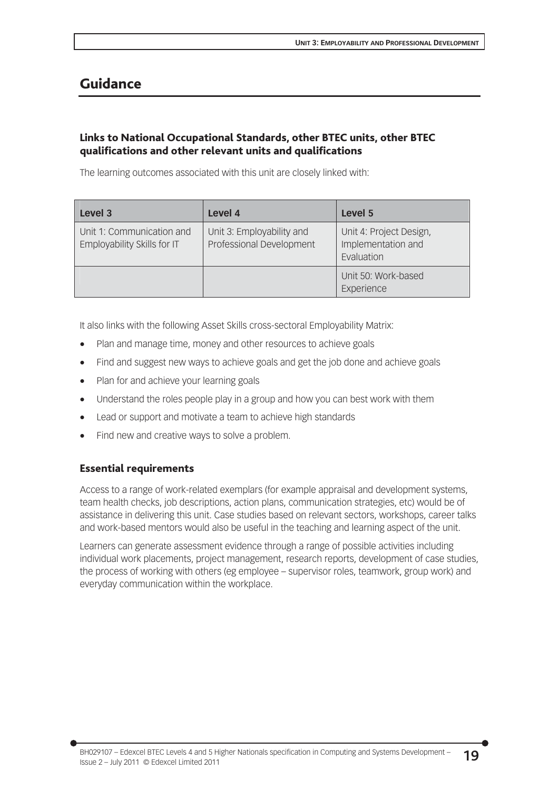# Guidance

# Links to National Occupational Standards, other BTEC units, other BTEC qualifications and other relevant units and qualifications

The learning outcomes associated with this unit are closely linked with:

| Level 3                                                  | Level 4                                               | Level 5                                                     |
|----------------------------------------------------------|-------------------------------------------------------|-------------------------------------------------------------|
| Unit 1: Communication and<br>Employability Skills for IT | Unit 3: Employability and<br>Professional Development | Unit 4: Project Design,<br>Implementation and<br>Evaluation |
|                                                          |                                                       | Unit 50: Work-based<br>Experience                           |

It also links with the following Asset Skills cross-sectoral Employability Matrix:

- Plan and manage time, money and other resources to achieve goals
- Find and suggest new ways to achieve goals and get the job done and achieve goals
- Plan for and achieve your learning goals
- Understand the roles people play in a group and how you can best work with them
- Lead or support and motivate a team to achieve high standards
- Find new and creative ways to solve a problem.

### Essential requirements

Access to a range of work-related exemplars (for example appraisal and development systems, team health checks, job descriptions, action plans, communication strategies, etc) would be of assistance in delivering this unit. Case studies based on relevant sectors, workshops, career talks and work-based mentors would also be useful in the teaching and learning aspect of the unit.

Learners can generate assessment evidence through a range of possible activities including individual work placements, project management, research reports, development of case studies, the process of working with others (eg employee – supervisor roles, teamwork, group work) and everyday communication within the workplace.